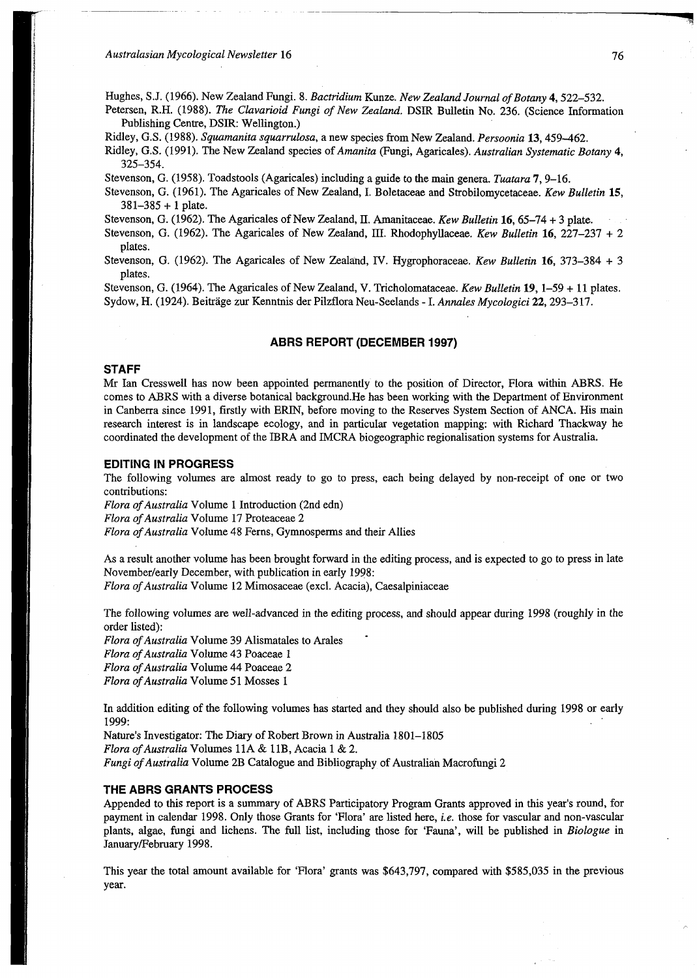Australasian Mycological Newsletter 16

Hughes, S J. (1966). New Zealand Fungi. 8. *Bactridium* Kunze. *New Zealand Journal of Botany* **4,** 522-532.

Petersen, R.H. (1988). *The Clavarioid Fungi of New Zealand.* DSIR Bulletin No. 236. (Science Information Publishing Centre, DSIR: Wellington.)

Ridley, G.S. (1988). *Squamanita squarrulosa,* a new species from New Zealand. *Persoonia* **13,**459-462.

Ridley, G.S. (1991). The New Zealand species of *Amanita* (Fungi, Agaricales). *Australian Systematic Botany* **4,**  325-354.

Stevenson, G. (1958). Toadstools (Agaricales) including a guide to the main genera. *Tuatara* **7,** 9-16.

Stevenson, G. (1961). The Agaricales of New Zealand, I. Boletaceae and Strobilomycetaceae. *Kew Bulletin* **15,**   $381 - 385 + 1$  plate.

Stevenson, G. (1962). The Agaricales of New Zealand, II. Amanitaceae. Kew Bulletin 16, 65-74 + 3 plate.

Stevenson, G. (1962). The Agaricales of New Zealand, HI. Rhodophyllaceae. *Kew Bulletin* **16,** 227-237 + 2 plates.

Stevenson, G. (1962). The Agaricales of New Zealand, IV. Hygrophoraceae. *Kew Bulletin* **16,** 373-384 + 3 plates.

Stevenson, G. (1964). The Agaricales of New Zealand, V. Tricholomataceae. *Kew Bulletin* **19,** 1-59 + 11 plates. Sydow, H. (1924). Beitrage zur Kenntnis der Pilzflora Neu-Seelands -1 . *Annates Mycologici* **22,** 293-317.

## **ABRS REPORT (DECEMBER 1997)**

#### **STAFF**

Mr Ian Cresswell has now been appointed permanently to the position of Director, Flora within ABRS. He comes to ABRS with a diverse botanical background.He has been working with the Department of Environment in Canberra since 1991, firstly with ERIN, before moving to the Reserves System Section of ANCA. His main research interest is in landscape ecology, and in particular vegetation mapping: with Richard Thackway he coordinated the development of the IBRA and IMCRA biogeographic regionalisation systems for Australia.

### **EDITING IN PROGRESS**

The following volumes are almost ready to go to press, each being delayed by non-receipt of one or two contributions:

*Flora of Australia* Volume 1 Introduction (2nd edn) *Flora of Australia* Volume 17 Proteaceae 2 *Flora of Australia* Volume 48 Ferns, Gymnosperms and their Allies

As a result another volume has been brought forward in the editing process, and is expected to go to press in late November/early December, with publication in early 1998:

*Flora of Australia* Volume 12 Mimosaceae (excl. Acacia), Caesalpiniaceae

The following volumes are well-advanced in the editing process, and should appear during 1998 (roughly in the order listed):

*Flora of Australia* Volume 39 Alismatales to Arales *Flora of Australia* Volume 43 Poaceae 1 *Flora of Australia* Volume 44 Poaceae 2 *Flora of Australia* Volume 51 Mosses 1

In addition editing of the following volumes has started and they should also be published during 1998 or early 1999:

Nature's Investigator: The Diary of Robert Brown in Australia 1801-1805

*Flora of Australia* Volumes 11A & 11B, Acacia 1 & 2.

Fungi of Australia Volume 2B Catalogue and Bibliography of Australian Macrofungi 2 *Fungi of Australia* Volume 2B Catalogue and Bibliography of Australian Macrofungi 2

### THE ABRS GRANTS PROCESS

Appended to this report is a summary of ABRS Participatory Program Grants approved in this year's round, for payment in calendar 1998. Only those Grants for 'Flora' are listed here, i.e. those for vascular and non-vascular plants, algae, fungi and lichens. The full list, including those for 'Fauna', will be published in *Biologue* in January/February 1998.

This year the total amount available for 'Flora' grants was \$643,797, compared with \$585,035 in the previous year.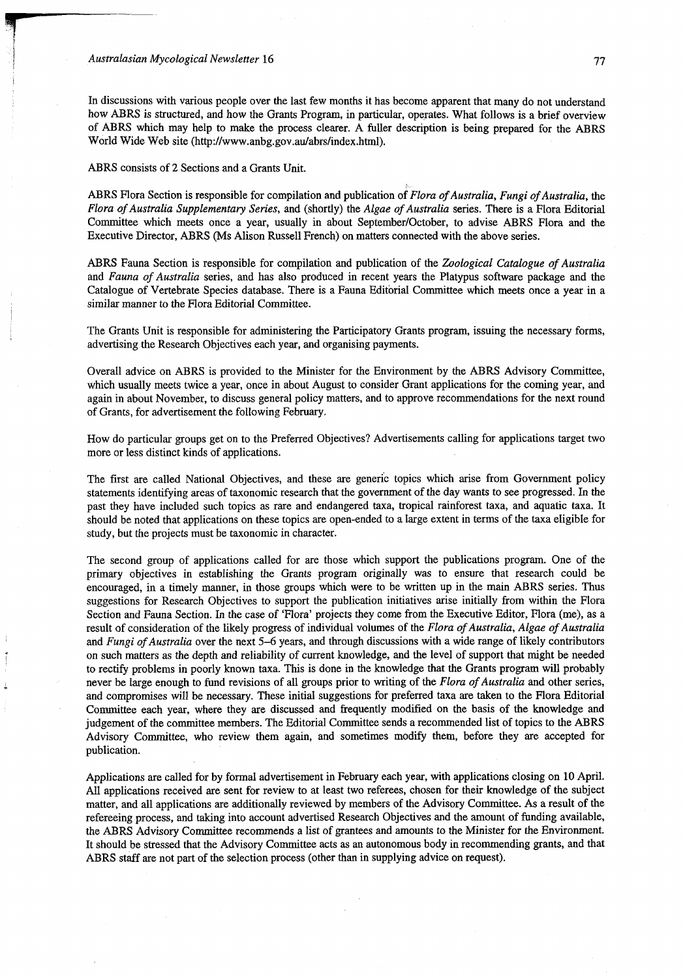#### Australasian Mycological Newsletter 16

In discussions with various people over the last few months it has become apparent that many do not understand how ABRS is structured, and how the Grants Program, in particular, operates. What follows is a brief overview of ABRS which may help to make the process clearer. A fuller description is being prepared for the ABRS World Wide Web site ([http://www.anbg.gov.au/abrs/index.html\).](http://www.anbg.gov.au/abrs/index.html)

ABRS consists of 2 Sections and a Grants Unit.

ABRS Flora Section is responsible for compilation and publication of *Flora of Australia, Fungi of Australia,* the *Flora of Australia Supplementary Series,* and (shortly) the *Algae of Australia* series. There is a Flora Editorial Committee which meets once a year, usually in about September/October, to advise ABRS Flora and the Executive Director, ABRS (Ms Alison Russell French) on matters connected with the above series.

ABRS Fauna Section is responsible for compilation and publication of the *Zoological Catalogue of Australia*  and *Fauna of Australia* series, and has also produced in recent years the Platypus software package and the Catalogue of Vertebrate Species database. There is a Fauna Editorial Committee which meets once a year in a similar manner to the Flora Editorial Committee.

The Grants Unit is responsible for administering the Participatory Grants program, issuing the necessary forms, advertising the Research Objectives each year, and organising payments.

Overall advice on ABRS is provided to the Minister for the Environment by the ABRS Advisory Committee, which usually meets twice a year, once in about August to consider Grant applications for the coming year, and again in about November, to discuss general policy matters, and to approve recommendations for the next round of Grants, for advertisement the following February.

How do particular groups get on to the Preferred Objectives? Advertisements calling for applications target two more or less distinct kinds of applications.

The first are called National Objectives, and these are generic topics which arise from Government policy statements identifying areas of taxonomic research that the government of the day wants to see progressed. In the past they have included such topics as rare and endangered taxa, tropical rainforest taxa, and aquatic taxa. It should be noted that applications on these topics are open-ended to a large extent in terms of the taxa eligible for study, but the projects must be taxonomic in character.

The second group of applications called for are those which support the publications program. One of the primary objectives in establishing the Grants program originally was to ensure that research could be encouraged, in a timely manner, in those groups which were to be written up in the main ABRS series. Thus suggestions for Research Objectives to support the publication initiatives arise initially from within the Flora Section and Fauna Section. In the case of 'Flora' projects they come from the Executive Editor, Flora (me), as a result of consideration of the likely progress of individual volumes of the *Flora of Australia, Algae of Australia*  and *Fungi of Australia* over the next 5-6 years, and through discussions with a wide range of likely contributors on such matters as the depth and reliability of current knowledge, and the level of support that might be needed to rectify problems in poorly known taxa. This is done in the knowledge that the Grants program will probably never be large enough to fund revisions of all groups prior to writing of the *Flora of Australia* and other series, and compromises will be necessary. These initial suggestions for preferred taxa are taken to the Flora Editorial Committee each year, where they are discussed and frequently modified on the basis of the knowledge and judgement of the committee members. The Editorial Committee sends a recommended list of topics to the ABRS Advisory Committee, who review them again, and sometimes modify them, before they are accepted for publication.

Applications are called for by formal advertisement in February each year, with applications closing on 10 April. All applications received are sent for review to at least two referees, chosen for their knowledge of the subject matter, and all applications are additionally reviewed by members of the Advisory Committee. As a result of the refereeing process, and taking into account advertised Research Objectives and the amount of funding available, the ABRS Advisory Committee recommends a list of grantees and amounts to the Minister for the Environment. It should be stressed that the Advisory Committee acts as an autonomous body in recommending grants, and that ABRS staff are not part of the selection process (other than in supplying advice on request).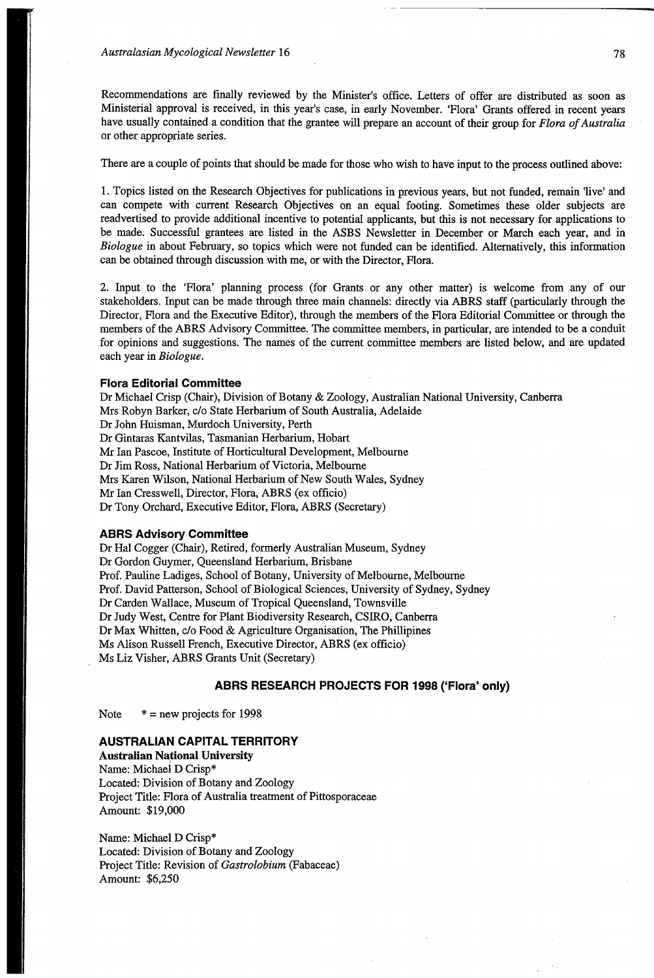Recommendations are finally reviewed by the Minister's office. Letters of offer are distributed as soon as Ministerial approval is received, in this year's case, in early November. 'Flora' Grants offered in recent years have usually contained a condition that the grantee will prepare an account of their group for *Flora of Australia*  or other appropriate series.

There are a couple of points that should be made for those who wish to have input to the process outlined above:

1. Topics listed on the Research Objectives for publications in previous years, but not funded, remain 'live' and can compete with current Research Objectives on an equal footing. Sometimes these older subjects are readvertised to provide additional incentive to potential applicants, but this is not necessary for applications to be made. Successful grantees are listed in the ASBS Newsletter in December or March each year, and in *Biologue* in about February, so topics which were not funded can be identified. Alternatively, this information can be obtained through discussion with me, or with the Director, Flora.

2. Input to the 'Flora' planning process (for Grants or any other matter) is welcome from any of our stakeholders. Input can be made through three main channels: directly via ABRS staff (particularly through the Director, Flora and the Executive Editor), through the members of the Flora Editorial Committee or through the members of the ABRS Advisory Committee. The committee members, in particular, are intended to be a conduit for opinions and suggestions. The names of the current committee members are listed below, and are updated each year in *Biologue.* 

### **Flora Editorial Committee**

Dr Michael Crisp (Chair), Division of Botany & Zoology, Australian National University, Canberra Mrs Robyn Barker, c/o State Herbarium of South Australia, Adelaide Dr John Huisman, Murdoch University, Perth Dr Gintaras Kantvilas, Tasmanian Herbarium, Hobart Mr Ian Pascoe, Institute of Horticultural Development, Melbourne Dr Jim Ross, National Herbarium of Victoria, Melbourne Mrs Karen Wilson, National Herbarium of New South Wales, Sydney Mr Ian Cresswell, Director, Flora, ABRS (ex officio) Dr Tony Orchard, Executive Editor, Flora, ABRS (Secretary)

### **ABRS Advisory Committee**

Dr Hal Cogger (Chair), Retired, formerly Australian Museum, Sydney Dr Gordon Guymer, Queensland Herbarium, Brisbane Prof. Pauline Ladiges, School of Botany, University of Melbourne, Melbourne Prof. David Patterson, School of Biological Sciences, University of Sydney, Sydney Dr Carden Wallace, Museum of Tropical Queensland, Townsville Dr Judy West, Centre for Plant Biodiversity Research, CSIRO, Canberra Dr Max Whitten, c/o Food & Agriculture Organisation, The Phillipines Ms Alison Russell French, Executive Director, ABRS (ex officio) Ms Liz Visher, ABRS Grants Unit (Secretary)

### **ABRS RESEARCH PROJECTS FOR 1998 ('Flora' only)**

Note  $* = new projects for 1998$ 

# **AUSTRALIAN CAPITAL TERRITORY**

**Australian National University**  Name: Michael D Crisp\* Located: Division of Botany and Zoology Project Title: Flora of Australia treatment of Pittosporaceae Amount: \$19,000

Name: Michael D Crisp\* Located: Division of Botany and Zoology Project Title: Revision of *Gastrolobium* (Fabaceae) Amount: \$6,250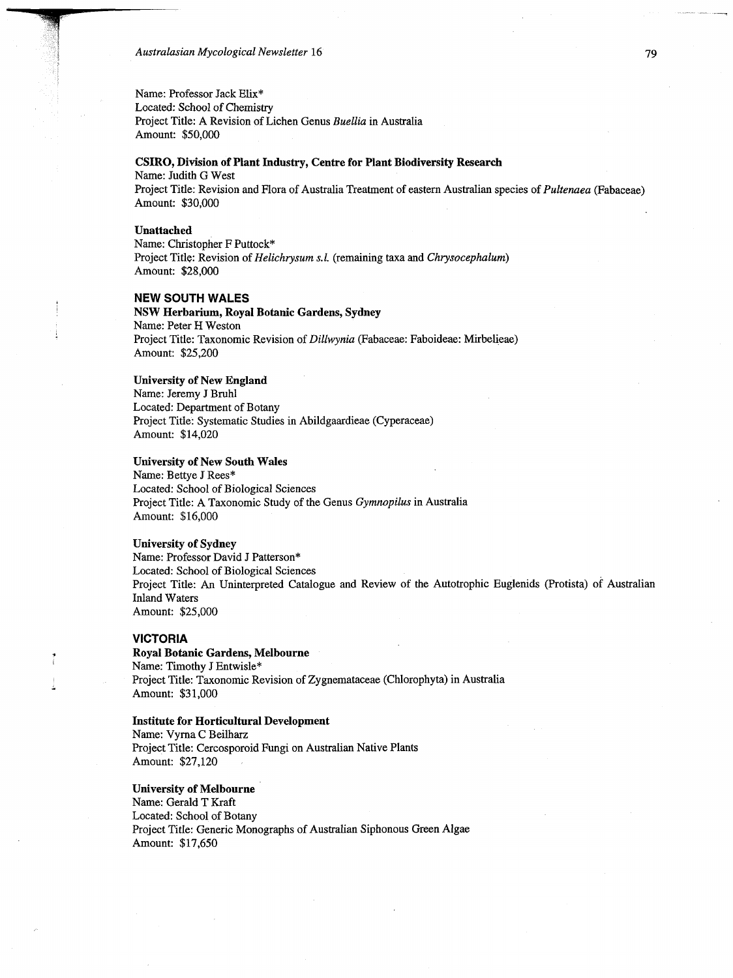Australasian Mycological Newsletter 16

Name: Professor Jack Elix\*

Located: School of Chemistry Project Title: A Revision of Lichen Genus *Buellia* in Australia Amount: \$50,000

# **CSIRO, Division of Plant Industry, Centre for Plant Biodiversity Research**

Project Title: Revision and Flora of Australia Treatment of eastern Australian species of *Pultenaea* (Fabaceae) Amount: \$30,000

#### **Unattached**

Name: Judith G West

Name: Christopher F Puttock\* Project Title: Revision of *Helichrysum s.l.* (remaining taxa and *Chrysocephalum)*  Amount: \$28,000

# **NEW SOUTH WALES**

**NSW Herbarium, Royal Botanic Gardens, Sydney**  Name: Peter H Weston Project Title: Taxonomic Revision of *Dillwynia* (Fabaceae: Faboideae: Mirbelieae) Amount: \$25,200

### **University of New England**

Name: Jeremy J Bruhl Located: Department of Botany Project Title: Systematic Studies in Abildgaardieae (Cyperaceae) Amount: \$14,020

### **University of New South Wales**

Name: Bettye J Rees\* Located: School of Biological Sciences Project Title: A Taxonomic Study of the Genus *Gymnopilus* in Australia Amount: \$16,000

### **University of Sydney**

Name: Professor David J Patterson\* Located: School of Biological Sciences Project Title: An Uninterpreted Catalogue and Review of the Autotrophic Euglenids (Protista) of Australian Inland Waters Amount: \$25,000

#### **VICTORIA**

Ť

**Royal Botanic Gardens, Melbourne**  Name: Timothy J Entwisle\* Project Title: Taxonomic Revision of Zygnemataceae (Chlorophyta) in Australia Amount: \$31,000

#### **Institute for Horticultural Development**

Name: Vyrna C Beilharz Project Title: Cercosporoid Fungi on Australian Native Plants Amount: \$27,120

#### **University of Melbourne**

Name: Gerald T Kraft Located: School of Botany Project Title: Generic Monographs of Australian Siphonous Green Algae Amount: \$17,650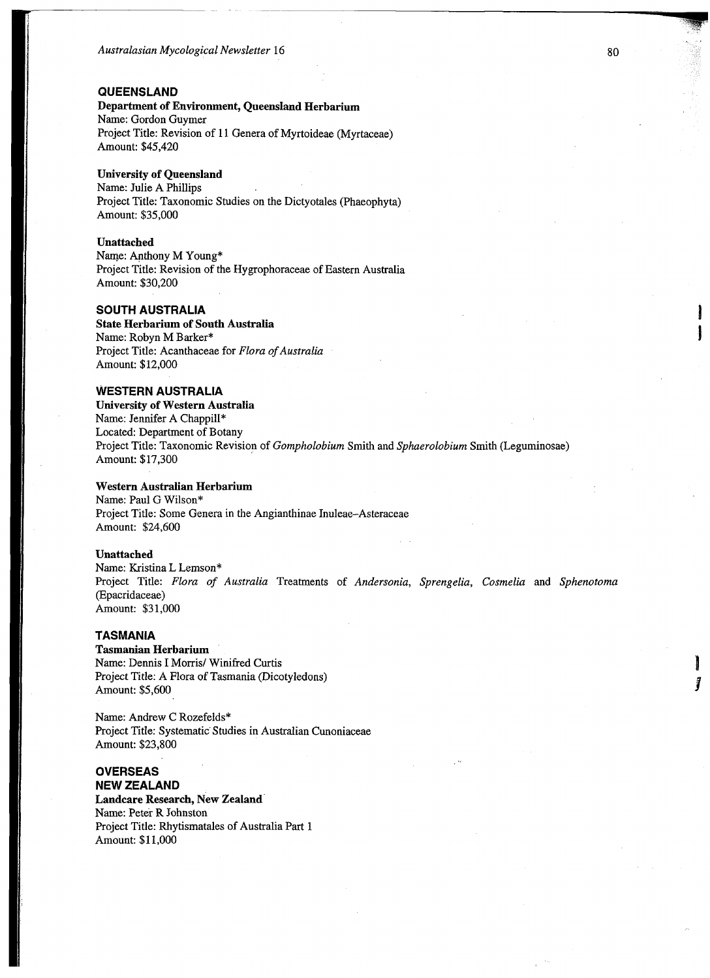### **QUEENSLAND**

**Department of Environment, Queensland Herbarium**  Name: Gordon Guymer Project Title: Revision of 11 Genera of Myrtoideae (Myrtaceae) Amount: \$45,420

# **University of Queensland**

Name: Julie A Phillips Project Title: Taxonomic Studies on the Dictyotales (Phaeophyta) Amount: \$35,000

# **Unattached**

Name: Anthony M Young\* Project Title: Revision of the Hygrophoraceae of Eastern Australia Amount: \$30,200

# **SOUTH AUSTRALIA**

**State Herbarium of South Australia**  Name: Robyn M Barker\* Project Title: Acanthaceae for *Flora of Australia*  Amount: \$12,000

# **WESTERN AUSTRALIA**

**University of Western Australia**  Name: Jennifer A Chappill\* Located: Department of Botany Project Title: Taxonomic Revision of *Gompholobium* Smith and *Sphaerolobium* Smith (Leguminosae) Amount: \$17,300

### **Western Australian Herbarium**

Name: Paul G Wilson\* Project Title: Some Genera in the Angianthinae Inuleae-Asteraceae Amount: \$24,600

## **Unattached**

Name: Kristina L Lemson\* Project Title: *Flora of Australia* Treatments of *Andersonia, Sprengelia, Cosmelia* and *Sphenotoma*  (Epacridaceae) Amount: \$31,000

### **TASMANIA**

**Tasmanian Herbarium**  Name: Dennis I Morris/ Winifred Curtis Project Title: A Flora of Tasmania (Dicotyledons) Amount: \$5,600

Name: Andrew C Rozefelds\* Project Title: Systematic Studies in Australian Cunoniaceae Amount: \$23,800

## **OVERSEAS NEW ZEALAND**

**Landcare Research, New Zealand**  Name: Peter R Johnston Project Title: Rhytismatales of Australia Part 1 Amount: \$11,000

Ĩ